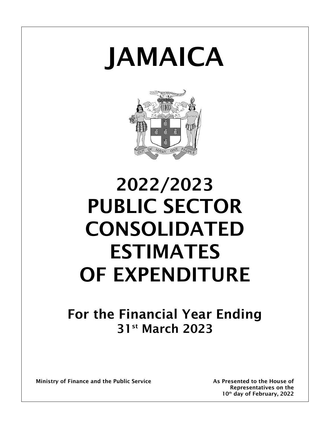# JAMAICA



# 2022/2023 PUBLIC SECTOR CONSOLIDATED ESTIMATES OF EXPENDITURE

## For the Financial Year Ending 31st March 2023

Ministry of Finance and the Public Service **As Presented to the House of** As Presented to the House of

Representatives on the 10<sup>th</sup> day of February, 2022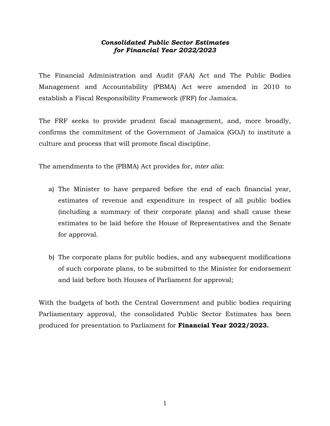## *Consolidated Public Sector Estimates for Financial Year 2022/2023*

The Financial Administration and Audit (FAA) Act and The Public Bodies Management and Accountability (PBMA) Act were amended in 2010 to establish a Fiscal Responsibility Framework (FRF) for Jamaica.

The FRF seeks to provide prudent fiscal management, and, more broadly, confirms the commitment of the Government of Jamaica (GOJ) to institute a culture and process that will promote fiscal discipline.

The amendments to the (PBMA) Act provides for, *inter alia*:

- a) The Minister to have prepared before the end of each financial year, estimates of revenue and expenditure in respect of all public bodies (including a summary of their corporate plans) and shall cause these estimates to be laid before the House of Representatives and the Senate for approval.
- b) The corporate plans for public bodies, and any subsequent modifications of such corporate plans, to be submitted to the Minister for endorsement and laid before both Houses of Parliament for approval;

With the budgets of both the Central Government and public bodies requiring Parliamentary approval, the consolidated Public Sector Estimates has been produced for presentation to Parliament for **Financial Year 2022/2023.**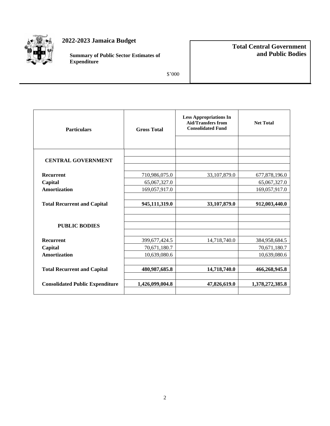

## **2022-2023 Jamaica Budget**

**Summary of Public Sector Estimates of Expenditure**

## **Total Central Government and Public Bodies**

\$'000

| <b>Particulars</b>                     | <b>Gross Total</b> | <b>Less Appropriations In</b><br><b>Aid/Transfers from</b><br><b>Consolidated Fund</b> | <b>Net Total</b> |  |
|----------------------------------------|--------------------|----------------------------------------------------------------------------------------|------------------|--|
|                                        |                    |                                                                                        |                  |  |
| <b>CENTRAL GOVERNMENT</b>              |                    |                                                                                        |                  |  |
| <b>Recurrent</b>                       | 710,986,075.0      | 33,107,879.0                                                                           | 677,878,196.0    |  |
| Capital                                | 65,067,327.0       |                                                                                        | 65,067,327.0     |  |
| <b>Amortization</b>                    | 169,057,917.0      |                                                                                        | 169,057,917.0    |  |
|                                        |                    |                                                                                        |                  |  |
| <b>Total Recurrent and Capital</b>     | 945,111,319.0      | 33,107,879.0                                                                           | 912,003,440.0    |  |
|                                        |                    |                                                                                        |                  |  |
|                                        |                    |                                                                                        |                  |  |
| <b>PUBLIC BODIES</b>                   |                    |                                                                                        |                  |  |
|                                        |                    |                                                                                        |                  |  |
| <b>Recurrent</b>                       | 399,677,424.5      | 14,718,740.0                                                                           | 384,958,684.5    |  |
| Capital                                | 70,671,180.7       |                                                                                        | 70,671,180.7     |  |
| <b>Amortization</b>                    | 10,639,080.6       |                                                                                        | 10,639,080.6     |  |
|                                        |                    |                                                                                        |                  |  |
| <b>Total Recurrent and Capital</b>     | 480,987,685.8      | 14,718,740.0                                                                           | 466,268,945.8    |  |
|                                        |                    |                                                                                        |                  |  |
| <b>Consolidated Public Expenditure</b> | 1,426,099,004.8    | 47,826,619.0                                                                           | 1,378,272,385.8  |  |
|                                        |                    |                                                                                        |                  |  |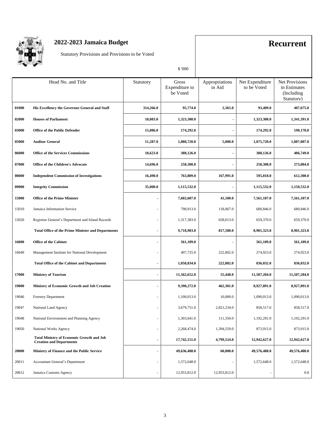

## **2022-2023 Jamaica Budget Recurrent**

Statutory Provisions and Provisions to be Voted

\$ '000

|       |                                                                                     |                          | \$ '000                             |                          |                                |                                                             |
|-------|-------------------------------------------------------------------------------------|--------------------------|-------------------------------------|--------------------------|--------------------------------|-------------------------------------------------------------|
|       | Head No. and Title                                                                  | Statutory                | Gross<br>Expenditure to<br>be Voted | Appropriations<br>in Aid | Net Expenditure<br>to be Voted | Net Provisions<br>in Estimates<br>(Including)<br>Statutory) |
| 01000 | His Excellency the Governor-General and Staff                                       | 314,266.0                | 95,774.0                            | 2,365.0                  | 93,409.0                       | 407,675.0                                                   |
| 02000 | <b>Houses of Parliament</b>                                                         | 18,083.0                 | 1,323,308.0                         |                          | 1,323,308.0                    | 1,341,391.0                                                 |
| 03000 | Office of the Public Defender                                                       | 15,886.0                 | 174,292.0                           |                          | 174,292.0                      | 190,178.0                                                   |
| 05000 | <b>Auditor General</b>                                                              | 11,287.0                 | 1,080,720.0                         | 5,000.0                  | 1,075,720.0                    | 1,087,007.0                                                 |
| 06000 | <b>Office of the Services Commissions</b>                                           | 18,623.0                 | 388,126.0                           |                          | 388,126.0                      | 406,749.0                                                   |
| 07000 | Office of the Children's Advocate                                                   | 14,696.0                 | 258,308.0                           |                          | 258,308.0                      | 273,004.0                                                   |
| 08000 | <b>Independent Commission of Investigations</b>                                     | 16,490.0                 | 763,809.0                           | 167,991.0                | 595,818.0                      | 612,308.0                                                   |
| 09000 | <b>Integrity Commission</b>                                                         | 35,000.0                 | 1,115,532.0                         |                          | 1,115,532.0                    | 1,150,532.0                                                 |
| 15000 | <b>Office of the Prime Minister</b>                                                 | $\blacksquare$           | 7,602,607.0                         | 41,500.0                 | 7,561,107.0                    | 7,561,107.0                                                 |
| 15010 | Jamaica Information Service                                                         | ÷,                       | 798,913.0                           | 118,067.0                | 680,846.0                      | 680,846.0                                                   |
| 15020 | Registrar General's Department and Island Records                                   | ÷,                       | 1,317,383.0                         | 658,013.0                | 659,370.0                      | 659,370.0                                                   |
|       | <b>Total Office of the Prime Minister and Departments</b>                           | $\overline{\phantom{0}}$ | 9,718,903.0                         | 817,580.0                | 8,901,323.0                    | 8,901,323.0                                                 |
| 16000 | <b>Office of the Cabinet</b>                                                        | $\blacksquare$           | 561,109.0                           |                          | 561,109.0                      | 561,109.0                                                   |
| 16049 | Management Institute for National Development                                       | $\frac{1}{2}$            | 497,725.0                           | 222,802.0                | 274,923.0                      | 274,923.0                                                   |
|       | <b>Total Office of the Cabinet and Departments</b>                                  | ٠                        | 1,058,834.0                         | 222,802.0                | 836,032.0                      | 836,032.0                                                   |
| 17000 | <b>Ministry of Tourism</b>                                                          | ä,                       | 11,562,652.0                        | 55,448.0                 | 11,507,204.0                   | 11,507,204.0                                                |
| 19000 | Ministry of Economic Growth and Job Creation                                        | $\blacksquare$           | 9,390,272.0                         | 462,381.0                | 8,927,891.0                    | 8,927,891.0                                                 |
| 19046 | <b>Forestry Department</b>                                                          | ÷,                       | 1,100,013.0                         | 10,000.0                 | 1,090,013.0                    | 1,090,013.0                                                 |
| 19047 | National Land Agency                                                                |                          | 3,679,751.0                         | 2,821,234.0              | 858,517.0                      | 858,517.0                                                   |
| 19048 | National Environment and Planning Agency                                            | ÷,                       | 1,303,641.0                         | 111,350.0                | 1,192,291.0                    | 1,192,291.0                                                 |
| 19050 | National Works Agency                                                               | $\frac{1}{2}$            | 2,268,474.0                         | 1,394,559.0              | 873,915.0                      | 873,915.0                                                   |
|       | <b>Total Ministry of Economic Growth and Job</b><br><b>Creation and Departments</b> | $\frac{1}{2}$            | 17,742,151.0                        | 4,799,524.0              | 12,942,627.0                   | 12,942,627.0                                                |
| 20000 | Ministry of Finance and the Public Service                                          | ٠                        | 49,636,488.0                        | 60,000.0                 | 49,576,488.0                   | 49,576,488.0                                                |
| 20011 | Accountant General's Department                                                     | ÷,                       | 1,572,648.0                         |                          | 1,572,648.0                    | 1,572,648.0                                                 |
| 20012 | Jamaica Customs Agency                                                              | $\frac{1}{2}$            | 12,953,812.0                        | 12,953,812.0             |                                | $0.0\,$                                                     |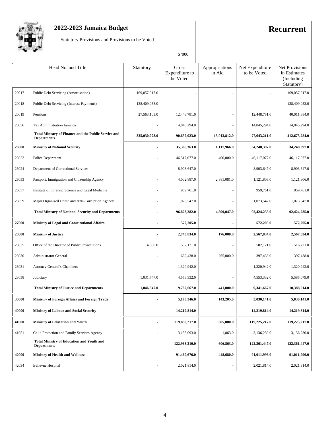

## **2022-2023 Jamaica Budget Recurrent**

Statutory Provisions and Provisions to be Voted

| И<br>ı<br>٠н. |
|---------------|
|               |

|       |                                                                            |                              | \$ '000                             |                          |                                |                                                             |
|-------|----------------------------------------------------------------------------|------------------------------|-------------------------------------|--------------------------|--------------------------------|-------------------------------------------------------------|
|       | Head No. and Title                                                         | Statutory                    | Gross<br>Expenditure to<br>be Voted | Appropriations<br>in Aid | Net Expenditure<br>to be Voted | Net Provisions<br>in Estimates<br>(Including)<br>Statutory) |
| 20017 | Public Debt Servicing (Amortisation)                                       | 169,057,917.0                |                                     |                          |                                | 169,057,917.0                                               |
| 20018 | Public Debt Servicing (Interest Payments)                                  | 138,409,053.0                |                                     |                          |                                | 138,409,053.0                                               |
| 20019 | Pensions                                                                   | 27,563,103.0                 | 12,448,781.0                        |                          | 12,448,781.0                   | 40,011,884.0                                                |
| 20056 | Tax Administration Jamaica                                                 | $\sim$                       | 14,045,294.0                        |                          | 14,045,294.0                   | 14,045,294.0                                                |
|       | Total Ministry of Finance and the Public Service and<br><b>Departments</b> | 335,030,073.0                | 90,657,023.0                        | 13,013,812.0             | 77,643,211.0                   | 412,673,284.0                                               |
| 26000 | <b>Ministry of National Security</b>                                       | $\blacksquare$               | 35,366,363.0                        | 1,117,966.0              | 34,248,397.0                   | 34,248,397.0                                                |
| 26022 | Police Department                                                          | ÷,                           | 46,517,077.0                        | 400,000.0                | 46,117,077.0                   | 46,117,077.0                                                |
| 26024 | Department of Correctional Services                                        | $\sim$                       | 8,903,647.0                         |                          | 8,903,647.0                    | 8,903,647.0                                                 |
| 26053 | Passport, Immigration and Citizenship Agency                               | ٠                            | 4,002,887.0                         | 2,881,081.0              | 1,121,806.0                    | 1,121,806.0                                                 |
| 26057 | Institute of Forensic Science and Legal Medicine                           | ÷,                           | 959,761.0                           |                          | 959,761.0                      | 959,761.0                                                   |
| 26059 | Major Organized Crime and Anti-Corruption Agency                           | $\overline{\phantom{a}}$     | 1,073,547.0                         |                          | 1,073,547.0                    | 1,073,547.0                                                 |
|       | <b>Total Ministry of National Security and Departments</b>                 | $\blacksquare$               | 96,823,282.0                        | 4,399,047.0              | 92,424,235.0                   | 92,424,235.0                                                |
| 27000 | <b>Ministry of Legal and Constitutional Affairs</b>                        | $\blacksquare$               | 572,205.0                           |                          | 572,205.0                      | 572,205.0                                                   |
| 28000 | <b>Ministry of Justice</b>                                                 | $\overline{\phantom{a}}$     | 2,743,834.0                         | 176,000.0                | 2,567,834.0                    | 2,567,834.0                                                 |
| 28025 | Office of the Director of Public Prosecutions                              | 14,600.0                     | 502,121.0                           |                          | 502,121.0                      | 516,721.0                                                   |
| 28030 | Administrator General                                                      | $\sim$                       | 662,438.0                           | 265,000.0                | 397,438.0                      | 397,438.0                                                   |
| 28031 | Attorney General's Chambers                                                |                              | 1,320,942.0                         |                          | 1,320,942.0                    | 1,320,942.0                                                 |
| 28058 | Judiciary                                                                  | 1,031,747.0                  | 4,553,332.0                         |                          | 4,553,332.0                    | 5,585,079.0                                                 |
|       | <b>Total Ministry of Justice and Departments</b>                           | 1,046,347.0                  | 9,782,667.0                         | 441,000.0                | 9,341,667.0                    | 10,388,014.0                                                |
| 30000 | Ministry of Foreign Affairs and Foreign Trade                              | $\blacksquare$               | 5,173,346.0                         | 143,205.0                | 5,030,141.0                    | 5,030,141.0                                                 |
| 40000 | <b>Ministry of Labour and Social Security</b>                              | $\blacksquare$               | 14,219,814.0                        |                          | 14,219,814.0                   | 14,219,814.0                                                |
| 41000 | Ministry of Education and Youth                                            | $\blacksquare$               | 119,830,217.0                       | 605,000.0                | 119,225,217.0                  | 119,225,217.0                                               |
| 41051 | Child Protection and Family Services Agency                                | $\qquad \qquad \blacksquare$ | 3,138,093.0                         | 1,863.0                  | 3,136,230.0                    | 3,136,230.0                                                 |
|       | <b>Total Ministry of Education and Youth and</b><br><b>Departments</b>     | $\blacksquare$               | 122,968,310.0                       | 606,863.0                | 122,361,447.0                  | 122,361,447.0                                               |
| 42000 | <b>Ministry of Health and Wellness</b>                                     | $\overline{\phantom{a}}$     | 91,460,676.0                        | 448,680.0                | 91,011,996.0                   | 91,011,996.0                                                |
| 42034 | <b>Bellevue Hospital</b>                                                   | $\overline{\phantom{a}}$     | 2,021,814.0                         |                          | 2,021,814.0                    | 2,021,814.0                                                 |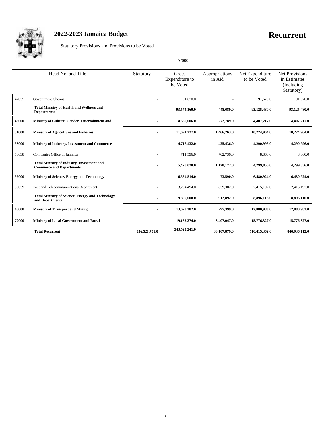

## **2022-2023 Jamaica Budget Recurrent**

Statutory Provisions and Provisions to be Voted

| N.<br>۱ |
|---------|

|       | Head No. and Title                                                                   | Statutory      | Gross<br>Expenditure to<br>be Voted | Appropriations<br>in Aid | Net Expenditure<br>to be Voted | <b>Net Provisions</b><br>in Estimates<br>(Including)<br>Statutory) |
|-------|--------------------------------------------------------------------------------------|----------------|-------------------------------------|--------------------------|--------------------------------|--------------------------------------------------------------------|
| 42035 | <b>Government Chemist</b>                                                            |                | 91,670.0                            |                          | 91,670.0                       | 91,670.0                                                           |
|       | <b>Total Ministry of Health and Wellness and</b><br><b>Departments</b>               | ٠              | 93,574,160.0                        | 448,680.0                | 93,125,480.0                   | 93,125,480.0                                                       |
| 46000 | Ministry of Culture, Gender, Entertainment and                                       | $\sim$         | 4,680,006.0                         | 272,789.0                | 4,407,217.0                    | 4,407,217.0                                                        |
| 51000 | <b>Ministry of Agriculture and Fisheries</b>                                         | $\blacksquare$ | 11,691,227.0                        | 1,466,263.0              | 10,224,964.0                   | 10,224,964.0                                                       |
| 53000 | Ministry of Industry, Investment and Commerce                                        |                | 4,716,432.0                         | 425,436.0                | 4,290,996.0                    | 4,290,996.0                                                        |
| 53038 | Companies Office of Jamaica                                                          |                | 711,596.0                           | 702,736.0                | 8,860.0                        | 8,860.0                                                            |
|       | <b>Total Ministry of Industry, Investment and</b><br><b>Commerce and Departments</b> | ٠              | 5,428,028.0                         | 1,128,172.0              | 4,299,856.0                    | 4,299,856.0                                                        |
| 56000 | Ministry of Science, Energy and Technology                                           |                | 6,554,514.0                         | 73,590.0                 | 6,480,924.0                    | 6,480,924.0                                                        |
| 56039 | Post and Telecommunications Department                                               |                | 3,254,494.0                         | 839,302.0                | 2,415,192.0                    | 2,415,192.0                                                        |
|       | <b>Total Ministry of Science, Energy and Technology</b><br>and Departments           |                | 9,809,008.0                         | 912,892.0                | 8,896,116.0                    | 8,896,116.0                                                        |
| 68000 | <b>Ministry of Transport and Mining</b>                                              | $\blacksquare$ | 13,678,382.0                        | 797,399.0                | 12,880,983.0                   | 12,880,983.0                                                       |
| 72000 | Ministry of Local Government and Rural                                               | ٠              | 19,183,374.0                        | 3,407,047.0              | 15,776,327.0                   | 15,776,327.0                                                       |
|       | <b>Total Recurrent</b>                                                               | 336,520,751.0  | 543,523,241.0                       | 33,107,879.0             | 510,415,362.0                  | 846,936,113.0                                                      |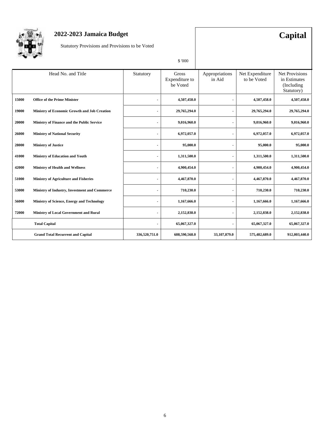

## **2022-2023 Jamaica Budget Capital**

Statutory Provisions and Provisions to be Voted

| 70OC |  |
|------|--|

|       |                                               |                | v vvv                               |                          |                                |                                                                    |
|-------|-----------------------------------------------|----------------|-------------------------------------|--------------------------|--------------------------------|--------------------------------------------------------------------|
|       | Head No. and Title                            | Statutory      | Gross<br>Expenditure to<br>be Voted | Appropriations<br>in Aid | Net Expenditure<br>to be Voted | <b>Net Provisions</b><br>in Estimates<br>(Including)<br>Statutory) |
| 15000 | <b>Office of the Prime Minister</b>           |                | 4,507,458.0                         |                          | 4,507,458.0                    | 4,507,458.0                                                        |
| 19000 | Ministry of Economic Growth and Job Creation  |                | 29,765,294.0                        |                          | 29,765,294.0                   | 29,765,294.0                                                       |
| 20000 | Ministry of Finance and the Public Service    | $\blacksquare$ | 9,016,960.0                         |                          | 9,016,960.0                    | 9,016,960.0                                                        |
| 26000 | <b>Ministry of National Security</b>          | $\blacksquare$ | 6,972,057.0                         |                          | 6,972,057.0                    | 6,972,057.0                                                        |
| 28000 | <b>Ministry of Justice</b>                    |                | 95,000.0                            |                          | 95,000.0                       | 95,000.0                                                           |
| 41000 | Ministry of Education and Youth               | $\blacksquare$ | 1,311,500.0                         |                          | 1,311,500.0                    | 1,311,500.0                                                        |
| 42000 | <b>Ministry of Health and Wellness</b>        |                | 4,900,454.0                         |                          | 4,900,454.0                    | 4,900,454.0                                                        |
| 51000 | <b>Ministry of Agriculture and Fisheries</b>  | ۰              | 4,467,870.0                         |                          | 4,467,870.0                    | 4,467,870.0                                                        |
| 53000 | Ministry of Industry, Investment and Commerce |                | 710,230.0                           |                          | 710,230.0                      | 710,230.0                                                          |
| 56000 | Ministry of Science, Energy and Technology    | $\blacksquare$ | 1,167,666.0                         |                          | 1,167,666.0                    | 1,167,666.0                                                        |
| 72000 | Ministry of Local Government and Rural        | $\blacksquare$ | 2,152,838.0                         |                          | 2,152,838.0                    | 2,152,838.0                                                        |
|       | <b>Total Capital</b>                          |                | 65,067,327.0                        |                          | 65,067,327.0                   | 65,067,327.0                                                       |
|       | <b>Grand Total Recurrent and Capital</b>      | 336,520,751.0  | 608,590,568.0                       | 33,107,879.0             | 575,482,689.0                  | 912,003,440.0                                                      |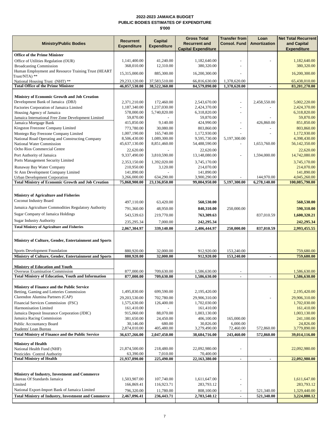### **2022-2023 JAMAICA BUDGET PUBLIC BODIES ESTIMATES OF EXPENDITURE \$'000**

|                                                                                              | <b>Recurrent</b>          | <b>Capital</b>           | <b>Gross Total</b>           | <b>Transfer from</b>  | Loan           | <b>Net Total Recurrent</b>     |  |
|----------------------------------------------------------------------------------------------|---------------------------|--------------------------|------------------------------|-----------------------|----------------|--------------------------------|--|
| <b>Ministry/Public Bodies</b>                                                                | <b>Expenditure</b>        | <b>Expenditure</b>       | <b>Recurrent and</b>         | <b>Consol. Fund</b>   | Amortization   | and Capital                    |  |
|                                                                                              |                           |                          | <b>Capital Expenditure</b>   |                       |                | <b>Expenditure</b>             |  |
| <b>Office of the Prime Minister</b>                                                          |                           |                          |                              |                       |                |                                |  |
| Office of Utilities Regulation (OUR)                                                         | 1,141,400.00              | 41,240.00                | 1,182,640.00                 |                       |                | 1,182,640.00                   |  |
| <b>Broadcasting Commission</b>                                                               | 368,010.00                | 12,310.00                | 380,320.00                   |                       |                | 380,320.00                     |  |
| Human Employment and Resource Training Trust (HEART<br>Trust/NTA) **                         | 15,315,000.00             | 885,300.00               | 16,200,300.00                |                       |                | 16,200,300.00                  |  |
| National Housing Trust (NHT) **                                                              | 29,233,120.00             | 37,583,510.00            | 66,816,630.00                | 1,378,620.00          |                | 65,438,010.00                  |  |
| <b>Total Office of the Prime Minister</b>                                                    | 46,057,530.00             | 38,522,360.00            | 84,579,890.00                | 1,378,620.00          | ٠              | 83,201,270.00                  |  |
|                                                                                              |                           |                          |                              |                       |                |                                |  |
| <b>Ministry of Economic Growth and Job Creation</b>                                          |                           |                          |                              |                       |                |                                |  |
| Development Bank of Jamaica (DBJ)                                                            | 2,371,210.00              | 172,460.00               | 2,543,670.00                 |                       | 2,458,550.00   | 5,002,220.00                   |  |
| Factories Corporation of Jamaica Limited                                                     | 1,187,340.00              | 1,237,030.00             | 2,424,370.00                 | $\overline{a}$        |                | 2,424,370.00                   |  |
| Housing Agency of Jamaica<br>Jamaica International Free Zone Development Limited             | 578,000.00<br>59,870.00   | 5,740,820.00             | 6,318,820.00<br>59,870.00    |                       |                | 6,318,820.00<br>59,870.00      |  |
| Jamaica Mortgage Bank                                                                        | 415,850.00                | 9,140.00                 | 424,990.00                   | Ē,                    | 426,860.00     | 851,850.00                     |  |
| Kingston Freezone Company Limited                                                            | 773,780.00                | 30,080.00                | 803,860.00                   |                       |                | 803,860.00                     |  |
| Montego Bay Freezone Company Limited                                                         | 1,007,190.00              | 165,740.00               | 1,172,930.00                 |                       |                | 1,172,930.00                   |  |
| National Road Operating and Constructing Company                                             | 8,506,430.00              | 1,089,300.00             | 9,595,730.00                 | 5,197,300.00          |                | 4,398,430.00                   |  |
| National Water Commission                                                                    | 45,637,130.00             | 8,851,460.00             | 54,488,590.00                |                       | 1,653,760.00   | 56,142,350.00                  |  |
| Ocho Rios Commercial Centre                                                                  | 22,620.00                 |                          | 22,620.00                    |                       |                | 22,620.00                      |  |
| Port Authority of Jamaica                                                                    | 9,337,490.00              | 3,810,590.00             | 13,148,080.00                |                       | 1,594,000.00   | 14,742,080.00                  |  |
| Ports Management Security Limited                                                            | 2,353,150.00              | 1,392,020.00             | 3,745,170.00                 |                       |                | 3,745,170.00                   |  |
| Runaway Bay Water Company                                                                    | 210,950.00                | 3,120.00                 | 214,070.00                   |                       |                | 214,070.00                     |  |
| St Ann Development Company Limited                                                           | 141,890.00                |                          | 141,890.00                   |                       |                | 141,890.00                     |  |
| <b>Urban Development Corporation</b>                                                         | 3,266,000.00              | 634,290.00               | 3,900,290.00                 |                       | 144,970.00     | 4,045,260.00<br>100,085,790.00 |  |
| <b>Total Ministry of Economic Growth and Job Creation</b>                                    | 75,868,900.00             | 23,136,050.00            | 99,004,950.00                | 5,197,300.00          | 6,278,140.00   |                                |  |
|                                                                                              |                           |                          |                              |                       |                |                                |  |
| Ministry of Agriculture and Fisheries                                                        |                           |                          |                              |                       |                |                                |  |
| Coconut Industry Board                                                                       | 497,110.00                | 63,420.00                | 560,530.00                   |                       |                | 560,530.00                     |  |
| Jamaica Agriculture Commodities Regulatory Authority                                         | 791,360.00                | 48,950.00                | 840,310.00                   | 250,000.00            |                | 590,310.00                     |  |
| Sugar Company of Jamaica Holdings                                                            | 543,539.63                | 219,770.00               | 763,309.63                   |                       | 837,010.59     | 1,600,320.21                   |  |
| <b>Sugar Industry Authority</b>                                                              | 235,295.34                | 7,000.00                 | 242,295.34                   |                       |                | 242,295.34                     |  |
| <b>Total Ministry of Agriculture and Fisheries</b>                                           | 2,067,304.97              | 339,140.00               | 2,406,444.97                 | 250,000.00            | 837,010.59     | 2,993,455.55                   |  |
|                                                                                              |                           |                          |                              |                       |                |                                |  |
| Ministry of Culture, Gender, Entertainment and Sports                                        |                           |                          |                              |                       |                |                                |  |
|                                                                                              |                           |                          |                              |                       |                |                                |  |
| Sports Development Foundation                                                                | 880,920.00                | 32,000.00                | 912,920.00                   | 153,240.00            |                | 759,680.00                     |  |
| Ministry of Culture, Gender, Entertainment and Sports                                        | 880,920.00                | 32,000.00                | 912,920.00                   | 153,240.00            | ٠              | 759,680.00                     |  |
|                                                                                              |                           |                          |                              |                       |                |                                |  |
| <b>Ministry of Education and Youth</b>                                                       |                           |                          |                              |                       |                |                                |  |
| Overseas Examination Commission<br><b>Total Ministry of Education, Youth and Information</b> | 877,000.00                | 709,630.00<br>709,630.00 | 1,586,630.00<br>1,586,630.00 |                       |                | 1,586,630.00                   |  |
|                                                                                              | 877,000.00                |                          |                              |                       |                | 1,586,630.00                   |  |
| Ministry of Finance and the Public Service                                                   |                           |                          |                              |                       |                |                                |  |
| Betting, Gaming and Lotteries Commission                                                     | 1,495,830.00              | 699,590.00               | 2,195,420.00                 |                       |                | 2,195,420.00                   |  |
| Clarendon Alumina Partners (CAP)                                                             | 29.203.530.00             | 702,780.00               | 29.906.310.00                |                       |                | 29,906,310.00                  |  |
| Financial Services Commission (FSC)                                                          | 1,575,630.00              | 126,400.00               | 1,702,030.00                 |                       |                | 1,702,030.00                   |  |
| Harmonisation Limited                                                                        | 161,410.00                |                          | 161,410.00                   |                       |                | 161,410.00                     |  |
| Jamaica Deposit Insurance Corporation (JDIC)                                                 | 915,060.00                | 88,070.00                | 1,003,130.00                 |                       |                | 1,003,130.00                   |  |
| Jamaica Racing Commission                                                                    | 381,650.00                | 24,450.00                | 406,100.00                   | 165,000.00            |                | 241,100.00                     |  |
| Public Accountancy Board                                                                     | 30,146.00<br>2,874,010.00 | 680.00<br>405,480.00     | 30,826.00<br>3,279,490.00    | 6,000.00<br>72,460.00 | 572,860.00     | 24,826.00<br>3,779,890.00      |  |
| Students' Loan Bureau<br><b>Total Ministry of Finance and the Public Service</b>             |                           |                          |                              |                       | 572,860.00     |                                |  |
|                                                                                              | 36,637,266.00             | 2,047,450.00             | 38,684,716.00                | 243,460.00            |                | 39,014,116.00                  |  |
| <b>Ministry of Health</b>                                                                    |                           |                          |                              |                       |                |                                |  |
| National Health Fund (NHF)                                                                   | 21,874,500.00             | 218,480.00               | 22,092,980.00                |                       |                | 22,092,980.00                  |  |
| Pesticides Control Authority                                                                 | 63,390.00                 | 7,010.00                 | 70,400.00                    |                       |                |                                |  |
| <b>Total Ministry of Health</b>                                                              | 21,937,890.00             | 225,490.00               | 22,163,380.00                | $\blacksquare$        | $\blacksquare$ | 22,092,980.00                  |  |
|                                                                                              |                           |                          |                              |                       |                |                                |  |
| Ministry of Industry, Investment and Commerce                                                |                           |                          |                              |                       |                |                                |  |
| Bureau Of Standards Jamaica                                                                  | 1,503,907.00              | 107,740.00               | 1,611,647.00                 |                       |                | 1,611,647.00                   |  |
| Limited                                                                                      | 166,869.41                | 116,923.71               | 283,793.12                   |                       |                | 283,793.12                     |  |
| National Export-Import Bank of Jamaica Limited                                               | 796,320.00                | 11,780.00                | 808,100.00                   |                       | 521,340.00     | 1,329,440.00                   |  |
| <b>Total Ministry of Industry, Investment and Commerce</b>                                   | 2,467,096.41              | 236,443.71               | 2,703,540.12                 | ٠                     | 521,340.00     | 3,224,880.12                   |  |
|                                                                                              |                           |                          |                              |                       |                |                                |  |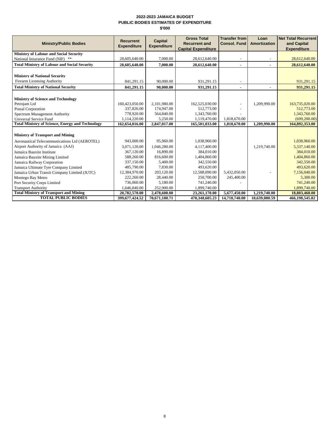### **2022-2023 JAMAICA BUDGET PUBLIC BODIES ESTIMATES OF EXPENDITURE \$'000**

|                                                         | <b>Recurrent</b>   | <b>Capital</b>     | <b>Gross Total</b>                                 | <b>Transfer from</b> | Loan                | <b>Net Total Recurrent</b>        |
|---------------------------------------------------------|--------------------|--------------------|----------------------------------------------------|----------------------|---------------------|-----------------------------------|
| <b>Ministry/Public Bodies</b>                           | <b>Expenditure</b> | <b>Expenditure</b> | <b>Recurrent and</b><br><b>Capital Expenditure</b> | <b>Consol. Fund</b>  | <b>Amortization</b> | and Capital<br><b>Expenditure</b> |
| Ministry of Labour and Social Security                  |                    |                    |                                                    |                      |                     |                                   |
| National Insurance Fund (NIF) **                        | 28,605,640.00      | 7,000.00           | 28,612,640.00                                      |                      |                     | 28,612,640.00                     |
| <b>Total Ministry of Labour and Social Security</b>     | 28,605,640.00      | 7.000.00           | 28,612,640.00                                      | ٠                    | ۰                   | 28,612,640.00                     |
|                                                         |                    |                    |                                                    |                      |                     |                                   |
| <b>Ministry of National Security</b>                    |                    |                    |                                                    |                      |                     |                                   |
| <b>Firearm Licensing Authority</b>                      | 841,291.15         | 90,000.00          | 931,291.15                                         |                      |                     | 931,291.15                        |
| <b>Total Ministry of National Security</b>              | 841,291.15         | 90,000.00          | 931,291.15                                         |                      |                     | 931,291.15                        |
|                                                         |                    |                    |                                                    |                      |                     |                                   |
| <b>Ministry of Science and Technology</b>               |                    |                    |                                                    |                      |                     |                                   |
| Petrojam Ltd                                            | 160,423,050.00     | 2,101,980.00       | 162,525,030.00                                     |                      | 1,209,990.00        | 163,735,020.00                    |
| Postal Corporation                                      | 337,826.00         | 174,947.00         | 512,773.00                                         |                      |                     | 512,773.00                        |
| Spectrum Management Authority                           | 778,920.00         | 564,840.00         | 1,343,760.00                                       |                      |                     | 1,343,760.00                      |
| Universal Service Fund                                  | 1,114,220.00       | 5,250.00           | 1,119,470.00                                       | 1,818,670.00         |                     | (699, 200.00)                     |
| <b>Total Ministry of Science, Energy and Technology</b> | 162,654,016.00     | 2,847,017.00       | 165,501,033.00                                     | 1,818,670.00         | 1,209,990.00        | 164,892,353.00                    |
|                                                         |                    |                    |                                                    |                      |                     |                                   |
| <b>Ministry of Transport and Mining</b>                 |                    |                    |                                                    |                      |                     |                                   |
| Aeronautical Telecommunications Ltd (AEROTEL)           | 943,000.00         | 95,960.00          | 1,038,960.00                                       |                      |                     | 1,038,960.00                      |
| Airport Authority of Jamaica (AAJ)                      | 3,071,120.00       | 1,046,280.00       | 4,117,400.00                                       |                      | 1,219,740.00        | 5,337,140.00                      |
| Jamaica Bauxite Institute                               | 367,120.00         | 16,890.00          | 384,010.00                                         |                      |                     | 384,010.00                        |
| Jamaica Bauxite Mining Limited                          | 588,260.00         | 816,600.00         | 1,404,860.00                                       |                      |                     | 1,404,860.00                      |
| Jamaica Railway Corporation                             | 337,150.00         | 5,400.00           | 342,550.00                                         |                      |                     | 342,550.00                        |
| Jamaica Ultimate Tyre Company Limited                   | 485,790.00         | 7,830.00           | 493,620.00                                         |                      |                     | 493,620.00                        |
| Jamaica Urban Transit Company Limited (JUTC)            | 12,384,970.00      | 203,120.00         | 12,588,090.00                                      | 5,432,050.00         |                     | 7,156,040.00                      |
| Montego Bay Metro                                       | 222,260.00         | 28,440.00          | 250,700.00                                         | 245,400.00           |                     | 5,300.00                          |
| Port Security Corps Limited                             | 736,060.00         | 5,180.00           | 741,240.00                                         |                      |                     | 741,240.00                        |
| <b>Transport Authority</b>                              | 1,646,840.00       | 252,900.00         | 1,899,740.00                                       |                      |                     | 1,899,740.00                      |
| <b>Total Ministry of Transport and Mining</b>           | 20,782,570.00      | 2,478,600.00       | 23,261,170.00                                      | 5,677,450.00         | 1,219,740.00        | 18,803,460.00                     |
| <b>TOTAL PUBLIC BODIES</b>                              | 399,677,424.52     | 70,671,180.71      | 470,348,605.23                                     | 14,718,740.00        | 10,639,080.59       | 466,198,545.82                    |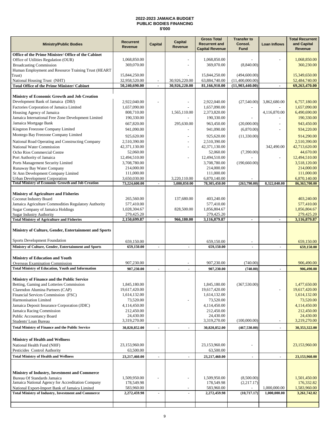### **2022-2023 JAMAICA BUDGET PUBLIC BODIES FINANCING \$'000**

|                                                                                                              | Capital<br><b>Recurrent</b>   |                | <b>Gross Total</b><br><b>Transfer to</b> |                                                |                          | <b>Total Recurrent</b>   |                                                                                                                                         |
|--------------------------------------------------------------------------------------------------------------|-------------------------------|----------------|------------------------------------------|------------------------------------------------|--------------------------|--------------------------|-----------------------------------------------------------------------------------------------------------------------------------------|
| <b>Ministry/Public Bodies</b>                                                                                | Revenue                       | <b>Capital</b> | Revenue                                  | <b>Recurrent and</b><br><b>Capital Revenue</b> | Consol.<br><b>Fund</b>   | Loan Inflows             | and Capital<br>Revenue                                                                                                                  |
| Office of the Prime Minister/ Office of the Cabinet                                                          |                               |                |                                          |                                                |                          |                          |                                                                                                                                         |
| Office of Utilities Regulation (OUR)                                                                         | 1,068,850.00                  |                |                                          | 1,068,850.00                                   |                          |                          | 1,068,850.00                                                                                                                            |
| <b>Broadcasting Commission</b>                                                                               | 369,070.00                    |                |                                          | 369,070.00                                     | (8,840.00)               |                          | 360,230.00                                                                                                                              |
| Human Employment and Resource Training Trust (HEART                                                          |                               |                |                                          |                                                |                          |                          |                                                                                                                                         |
| Trust)                                                                                                       | 15,844,250.00                 |                |                                          | 15,844,250.00                                  | (494, 600.00)            |                          | 15,349,650.00                                                                                                                           |
| National Housing Trust (NHT)                                                                                 | 32,958,520.00                 |                | 30,926,220.00                            | 63,884,740.00                                  | (11,400,000.00)          |                          | 52,484,740.00                                                                                                                           |
| <b>Total Office of the Prime Minister/ Cabinet</b>                                                           | 50,240,690.00                 | $\blacksquare$ | 30,926,220.00                            | 81,166,910.00                                  | (11,903,440.00)          | $\blacksquare$           | 69,263,470.00                                                                                                                           |
|                                                                                                              |                               |                |                                          |                                                |                          |                          |                                                                                                                                         |
| Ministry of Economic Growth and Job Creation                                                                 |                               |                |                                          |                                                |                          |                          |                                                                                                                                         |
| Development Bank of Jamaica (DBJ)                                                                            | 2,922,040.00                  |                |                                          | 2,922,040.00                                   | (27,540.00)              | 3,862,680.00             | 6,757,180.00                                                                                                                            |
| Factories Corporation of Jamaica Limited                                                                     | 1,657,090.00                  |                |                                          | 1,657,090.00                                   |                          |                          | 1,657,090.00                                                                                                                            |
| Housing Agency of Jamaica                                                                                    | 808,710.00                    |                | 1,565,110.00                             | 2,373,820.00                                   |                          | 4,116,870.00             | 6,490,690.00                                                                                                                            |
| Jamaica International Free Zone Development Limited                                                          | 190,330.00                    |                |                                          | 190,330.00                                     |                          |                          | 190,330.00                                                                                                                              |
| Jamaica Mortgage Bank                                                                                        | 667,820.00                    |                | 295,630.00                               | 963,450.00                                     | (20,000.00)              | $\overline{\phantom{a}}$ | 943,450.00                                                                                                                              |
| Kingston Freezone Company Limited                                                                            | 941,090.00                    |                |                                          | 941,090.00                                     | (6,870.00)               |                          | 934,220.00                                                                                                                              |
| Montego Bay Freezone Company Limited                                                                         | 925,620.00                    |                |                                          | 925,620.00                                     | (11,330.00)              |                          | 914,290.00                                                                                                                              |
| National Road Operating and Constructing Company                                                             | 2,510,390.00                  |                | ٠                                        | 2,510,390.00                                   |                          |                          | 2,510,390.00                                                                                                                            |
| National Water Commission                                                                                    | 42,371,130.00                 |                |                                          | 42,371,130.00                                  |                          | 342,490.00               | 42,713,620.00                                                                                                                           |
| Ocho Rios Commercial Centre                                                                                  | 52,060.00                     |                |                                          | 52,060.00                                      | (7,390.00)               |                          | 44,670.00                                                                                                                               |
| Port Authority of Jamaica                                                                                    | 12,494,510.00                 |                |                                          |                                                |                          | $\overline{a}$           | 12,494,510.00                                                                                                                           |
|                                                                                                              | 3,708,780.00                  |                |                                          | 12,494,510.00<br>3,708,780.00                  | (190, 660.00)            |                          | 3,518,120.00                                                                                                                            |
| Ports Management Security Limited<br>Runaway Bay Water Company                                               | 214,000.00                    |                |                                          | 214,000.00                                     |                          |                          | 214,000.00                                                                                                                              |
| St Ann Development Company Limited                                                                           | 111,000.00                    |                |                                          | 111,000.00                                     |                          |                          | 111,000.00                                                                                                                              |
| <b>Urban Development Corporation</b>                                                                         | 3,650,030.00                  |                | 3,220,110.00                             | 6,870,140.00                                   |                          |                          | 6,870,140.00                                                                                                                            |
| <b>Total Ministry of Economic Growth and Job Creation</b>                                                    | 73,224,600.00                 | $\sim$         | 5,080,850.00                             | 78,305,450.00                                  | (263,790.00)             | 8,322,040.00             | 86,363,700.00                                                                                                                           |
|                                                                                                              |                               |                |                                          |                                                |                          |                          |                                                                                                                                         |
| <b>Ministry of Agriculture and Fisheries</b>                                                                 |                               |                |                                          |                                                |                          |                          |                                                                                                                                         |
| Coconut Industry Board                                                                                       | 265,560.00                    |                | 137,680.00                               | 403,240.00                                     |                          |                          | 403,240.00                                                                                                                              |
| Jamaica Agriculture Commodities Regulatory Authority                                                         | 577,410.00                    |                |                                          | 577,410.00                                     |                          |                          | 577,410.00                                                                                                                              |
| <b>Sugar Company of Jamaica Holdings</b>                                                                     | 1,028,304.67                  |                | 828,500.00                               | 1,856,804.67                                   |                          |                          | 1,856,804.67                                                                                                                            |
| <b>Sugar Industry Authority</b>                                                                              | 279,425.20                    |                |                                          | 279,425.20                                     |                          |                          | 279,425.20                                                                                                                              |
| <b>Total Ministry of Agriculture and Fisheries</b>                                                           | 2,150,699.87                  | $\blacksquare$ | 966,180.00                               | 3,116,879.87                                   | $\blacksquare$           | ٠                        | 3,116,879.87                                                                                                                            |
| Ministry of Culture, Gender, Entertainment and Sports<br>Sports Development Foundation                       | 659,150.00                    |                |                                          | 659,150.00                                     |                          |                          | 659,150.00                                                                                                                              |
| Ministry of Culture, Gender, Entertainment and Sports                                                        | 659,150.00                    |                |                                          | 659,150.00                                     |                          | $\blacksquare$           | 659,150.00                                                                                                                              |
| <b>Ministry of Education and Youth</b>                                                                       | 907,230.00                    |                | $\overline{\phantom{0}}$                 | 907,230.00                                     | (740.00)                 |                          | 906,490.00                                                                                                                              |
| Overseas Examination Commission                                                                              |                               |                |                                          |                                                |                          |                          |                                                                                                                                         |
|                                                                                                              |                               |                |                                          |                                                |                          |                          |                                                                                                                                         |
| <b>Total Ministry of Education, Youth and Information</b>                                                    | 907,230.00                    | $\blacksquare$ | $\blacksquare$                           | 907.230.00                                     | (740.00)                 | $\overline{a}$           | 906,490.00                                                                                                                              |
|                                                                                                              |                               |                |                                          |                                                |                          |                          |                                                                                                                                         |
| Ministry of Finance and the Public Service                                                                   |                               |                |                                          |                                                |                          |                          |                                                                                                                                         |
| Betting, Gaming and Lotteries Commission                                                                     | 1,845,180.00                  |                |                                          | 1,845,180.00                                   | (367, 530.00)            | $\overline{a}$           | 1,477,650.00                                                                                                                            |
| Clarendon Alumina Partners (CAP)                                                                             | 19,617,420.00<br>1,614,132.00 |                |                                          | 19,617,420.00                                  |                          |                          |                                                                                                                                         |
| Financial Services Commission (FSC)<br>Harmonisation Limited                                                 |                               |                |                                          | 1,614,132.00                                   |                          |                          |                                                                                                                                         |
|                                                                                                              | 73,520.00                     |                |                                          | 73,520.00                                      |                          |                          |                                                                                                                                         |
| Jamaica Deposit Insurance Corporation (JDIC)                                                                 | 4,114,450.00                  |                |                                          | 4,114,450.00                                   |                          |                          |                                                                                                                                         |
| Jamaica Racing Commission                                                                                    | 212,450.00<br>24,430.00       |                |                                          | 212,450.00<br>24,430.00                        |                          |                          |                                                                                                                                         |
| <b>Public Accountancy Board</b><br>Students' Loan Bureau                                                     | 3,319,270.00                  |                |                                          | 3,319,270.00                                   | (100,000.00)             | $\overline{a}$           |                                                                                                                                         |
|                                                                                                              | 30,820,852.00                 | $\blacksquare$ | $\blacksquare$                           | 30,820,852.00                                  | (467, 530.00)            | $\blacksquare$           |                                                                                                                                         |
| <b>Total Ministry of Finance and the Public Service</b>                                                      |                               |                |                                          |                                                |                          |                          |                                                                                                                                         |
| <b>Ministry of Health and Wellness</b>                                                                       |                               |                |                                          |                                                |                          |                          |                                                                                                                                         |
| National Health Fund (NHF)                                                                                   | 23,153,960.00                 |                |                                          | 23,153,960.00                                  |                          |                          |                                                                                                                                         |
|                                                                                                              | 63,500.00                     |                |                                          | 63,500.00                                      |                          |                          |                                                                                                                                         |
|                                                                                                              |                               |                | $\blacksquare$                           |                                                | $\blacksquare$           | $\blacksquare$           | 19,617,420.00<br>1,614,132.00<br>73,520.00<br>4,114,450.00<br>212,450.00<br>24,430.00<br>3,219,270.00<br>30,353,322.00<br>23,153,960.00 |
|                                                                                                              | 23,217,460.00                 | $\blacksquare$ |                                          | 23,217,460.00                                  |                          |                          |                                                                                                                                         |
| Pesticides Control Authority<br><b>Total Ministry of Health and Wellness</b>                                 |                               |                |                                          |                                                |                          |                          |                                                                                                                                         |
| Ministry of Industry, Investment and Commerce                                                                | 1,509,950.00                  |                |                                          | 1,509,950.00                                   | (8,500.00)               |                          | 23,153,960.00<br>1,501,450.00                                                                                                           |
| Bureau Of Standards Jamaica<br>Jamaica National Agency for Accreditation Company                             | 178,549.98                    |                |                                          | 178,549.98                                     | (2,217.17)               |                          | 176,332.82                                                                                                                              |
|                                                                                                              | 583,960.00                    |                |                                          | 583,960.00                                     | $\overline{\phantom{a}}$ | 1,000,000.00             | 1,583,960.00                                                                                                                            |
| National Export-Import Bank of Jamaica Limited<br><b>Total Ministry of Industry, Investment and Commerce</b> | 2,272,459.98                  | $\blacksquare$ | $\blacksquare$                           | 2,272,459.98                                   | (10,717.17)              | 1,000,000.00             | 3,261,742.82                                                                                                                            |